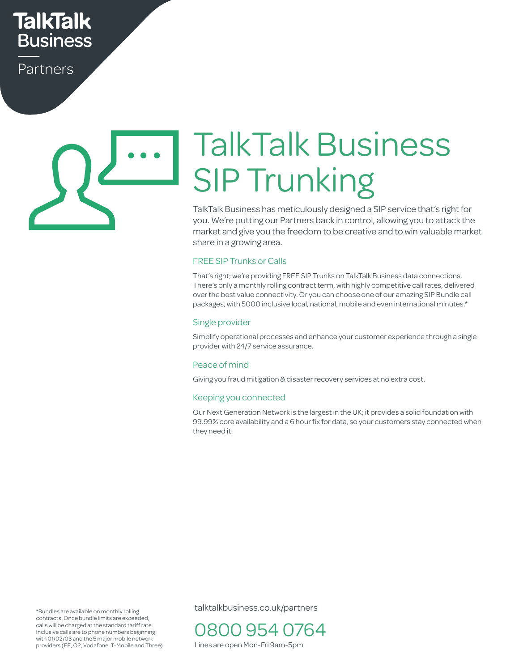## **TalkTalk Business**

Partners

# TalkTalk Business SIP Trunking

TalkTalk Business has meticulously designed a SIP service that's right for you. We're putting our Partners back in control, allowing you to attack the market and give you the freedom to be creative and to win valuable market share in a growing area.

#### FREE SIP Trunks or Calls

That's right; we're providing FREE SIP Trunks on TalkTalk Business data connections. There's only a monthly rolling contract term, with highly competitive call rates, delivered over the best value connectivity. Or you can choose one of our amazing SIP Bundle call packages, with 5000 inclusive local, national, mobile and even international minutes.\* tive call rates,<br>imazing SIP Bu<br>iternational m

#### Single provider

Simplify operational processes and enhance your customer experience through a single provider with 24/7 service assurance. Le your customer experience unough a single

#### Peace of mind

reace or minu<br>Giving you fraud mitigation & disaster recovery services at no extra cost.

#### Keeping you connected

Keeping you connected<br>Our Next Generation Network is the largest in the UK; it provides a solid foundation with 99.99% core availability and a 6 hour fix for data, so your customers stay connected when they need it.

\*Bundles are available on monthly rolling contracts. Once bundle limits are exceeded, calls will be charged at the standard tariff rate. Inclusive calls are to phone numbers beginning with 01/02/03 and the 5 major mobile network providers (EE, O2, Vodafone, T-Mobile and Three). talktalkbusiness.co.uk/partners